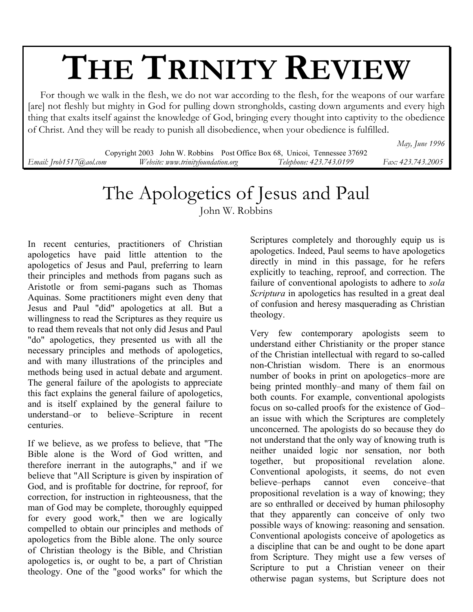# **THE TRINITY REVIEW**

 For though we walk in the flesh, we do not war according to the flesh, for the weapons of our warfare [are] not fleshly but mighty in God for pulling down strongholds, casting down arguments and every high thing that exalts itself against the knowledge of God, bringing every thought into captivity to the obedience of Christ. And they will be ready to punish all disobedience, when your obedience is fulfilled.

*May, June 1996* 

Copyright 2003 John W. Robbins Post Office Box 68, Unicoi, Tennessee 37692 *Email: Jrob1517@aol.com Website: www.trinityfoundation.org Telephone: 423.743.0199 Fax: 423.743.2005*

## The Apologetics of Jesus and Paul

John W. Robbins

In recent centuries, practitioners of Christian apologetics have paid little attention to the apologetics of Jesus and Paul, preferring to learn their principles and methods from pagans such as Aristotle or from semi-pagans such as Thomas Aquinas. Some practitioners might even deny that Jesus and Paul "did" apologetics at all. But a willingness to read the Scriptures as they require us to read them reveals that not only did Jesus and Paul "do" apologetics, they presented us with all the necessary principles and methods of apologetics, and with many illustrations of the principles and methods being used in actual debate and argument. The general failure of the apologists to appreciate this fact explains the general failure of apologetics, and is itself explained by the general failure to understand–or to believe–Scripture in recent centuries.

If we believe, as we profess to believe, that "The Bible alone is the Word of God written, and therefore inerrant in the autographs," and if we believe that "All Scripture is given by inspiration of God, and is profitable for doctrine, for reproof, for correction, for instruction in righteousness, that the man of God may be complete, thoroughly equipped for every good work," then we are logically compelled to obtain our principles and methods of apologetics from the Bible alone. The only source of Christian theology is the Bible, and Christian apologetics is, or ought to be, a part of Christian theology. One of the "good works" for which the

Scriptures completely and thoroughly equip us is apologetics. Indeed, Paul seems to have apologetics directly in mind in this passage, for he refers explicitly to teaching, reproof, and correction. The failure of conventional apologists to adhere to *sola Scriptura* in apologetics has resulted in a great deal of confusion and heresy masquerading as Christian theology.

Very few contemporary apologists seem to understand either Christianity or the proper stance of the Christian intellectual with regard to so-called non-Christian wisdom. There is an enormous number of books in print on apologetics–more are being printed monthly–and many of them fail on both counts. For example, conventional apologists focus on so-called proofs for the existence of God– an issue with which the Scriptures are completely unconcerned. The apologists do so because they do not understand that the only way of knowing truth is neither unaided logic nor sensation, nor both together, but propositional revelation alone. Conventional apologists, it seems, do not even believe–perhaps cannot even conceive–that propositional revelation is a way of knowing; they are so enthralled or deceived by human philosophy that they apparently can conceive of only two possible ways of knowing: reasoning and sensation. Conventional apologists conceive of apologetics as a discipline that can be and ought to be done apart from Scripture. They might use a few verses of Scripture to put a Christian veneer on their otherwise pagan systems, but Scripture does not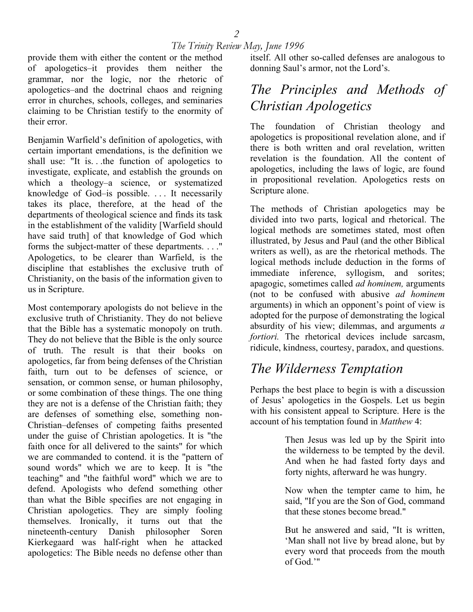provide them with either the content or the method of apologetics–it provides them neither the grammar, nor the logic, nor the rhetoric of apologetics–and the doctrinal chaos and reigning error in churches, schools, colleges, and seminaries claiming to be Christian testify to the enormity of their error.

Benjamin Warfield's definition of apologetics, with certain important emendations, is the definition we shall use: "It is. . .the function of apologetics to investigate, explicate, and establish the grounds on which a theology–a science, or systematized knowledge of God–is possible. . . . It necessarily takes its place, therefore, at the head of the departments of theological science and finds its task in the establishment of the validity [Warfield should have said truth] of that knowledge of God which forms the subject-matter of these departments. . . ." Apologetics, to be clearer than Warfield, is the discipline that establishes the exclusive truth of Christianity, on the basis of the information given to us in Scripture.

Most contemporary apologists do not believe in the exclusive truth of Christianity. They do not believe that the Bible has a systematic monopoly on truth. They do not believe that the Bible is the only source of truth. The result is that their books on apologetics, far from being defenses of the Christian faith, turn out to be defenses of science, or sensation, or common sense, or human philosophy, or some combination of these things. The one thing they are not is a defense of the Christian faith; they are defenses of something else, something non-Christian–defenses of competing faiths presented under the guise of Christian apologetics. It is "the faith once for all delivered to the saints" for which we are commanded to contend. it is the "pattern of sound words" which we are to keep. It is "the teaching" and "the faithful word" which we are to defend. Apologists who defend something other than what the Bible specifies are not engaging in Christian apologetics. They are simply fooling themselves. Ironically, it turns out that the nineteenth-century Danish philosopher Soren Kierkegaard was half-right when he attacked apologetics: The Bible needs no defense other than itself. All other so-called defenses are analogous to donning Saul's armor, not the Lord's.

## *The Principles and Methods of Christian Apologetics*

The foundation of Christian theology and apologetics is propositional revelation alone, and if there is both written and oral revelation, written revelation is the foundation. All the content of apologetics, including the laws of logic, are found in propositional revelation. Apologetics rests on Scripture alone.

The methods of Christian apologetics may be divided into two parts, logical and rhetorical. The logical methods are sometimes stated, most often illustrated, by Jesus and Paul (and the other Biblical writers as well), as are the rhetorical methods. The logical methods include deduction in the forms of immediate inference, syllogism, and sorites; apagogic, sometimes called *ad hominem,* arguments (not to be confused with abusive *ad hominem* arguments) in which an opponent's point of view is adopted for the purpose of demonstrating the logical absurdity of his view; dilemmas, and arguments *a fortiori*. The rhetorical devices include sarcasm, ridicule, kindness, courtesy, paradox, and questions.

## *The Wilderness Temptation*

Perhaps the best place to begin is with a discussion of Jesus' apologetics in the Gospels. Let us begin with his consistent appeal to Scripture. Here is the account of his temptation found in *Matthew* 4:

> Then Jesus was led up by the Spirit into the wilderness to be tempted by the devil. And when he had fasted forty days and forty nights, afterward he was hungry.

> Now when the tempter came to him, he said, "If you are the Son of God, command that these stones become bread."

> But he answered and said, "It is written, 'Man shall not live by bread alone, but by every word that proceeds from the mouth of God.'"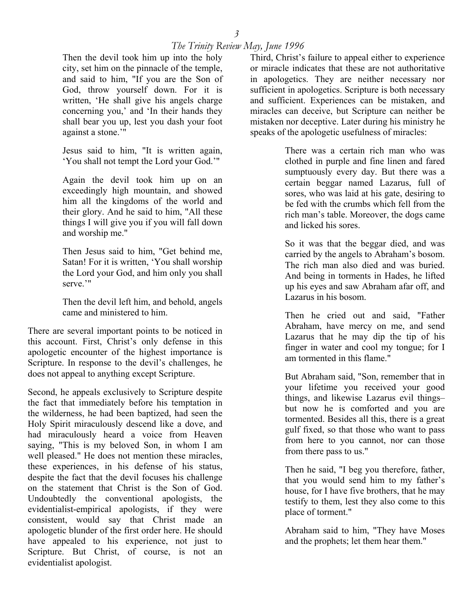Then the devil took him up into the holy city, set him on the pinnacle of the temple, and said to him, "If you are the Son of God, throw yourself down. For it is written, 'He shall give his angels charge concerning you,' and 'In their hands they shall bear you up, lest you dash your foot against a stone.'"

Jesus said to him, "It is written again, 'You shall not tempt the Lord your God.'"

Again the devil took him up on an exceedingly high mountain, and showed him all the kingdoms of the world and their glory. And he said to him, "All these things I will give you if you will fall down and worship me."

Then Jesus said to him, "Get behind me, Satan! For it is written, 'You shall worship the Lord your God, and him only you shall serve.'"

Then the devil left him, and behold, angels came and ministered to him.

There are several important points to be noticed in this account. First, Christ's only defense in this apologetic encounter of the highest importance is Scripture. In response to the devil's challenges, he does not appeal to anything except Scripture.

Second, he appeals exclusively to Scripture despite the fact that immediately before his temptation in the wilderness, he had been baptized, had seen the Holy Spirit miraculously descend like a dove, and had miraculously heard a voice from Heaven saying, "This is my beloved Son, in whom I am well pleased." He does not mention these miracles, these experiences, in his defense of his status, despite the fact that the devil focuses his challenge on the statement that Christ is the Son of God. Undoubtedly the conventional apologists, the evidentialist-empirical apologists, if they were consistent, would say that Christ made an apologetic blunder of the first order here. He should have appealed to his experience, not just to Scripture. But Christ, of course, is not an evidentialist apologist.

Third, Christ's failure to appeal either to experience or miracle indicates that these are not authoritative in apologetics. They are neither necessary nor sufficient in apologetics. Scripture is both necessary and sufficient. Experiences can be mistaken, and miracles can deceive, but Scripture can neither be mistaken nor deceptive. Later during his ministry he speaks of the apologetic usefulness of miracles:

> There was a certain rich man who was clothed in purple and fine linen and fared sumptuously every day. But there was a certain beggar named Lazarus, full of sores, who was laid at his gate, desiring to be fed with the crumbs which fell from the rich man's table. Moreover, the dogs came and licked his sores.

> So it was that the beggar died, and was carried by the angels to Abraham's bosom. The rich man also died and was buried. And being in torments in Hades, he lifted up his eyes and saw Abraham afar off, and Lazarus in his bosom.

> Then he cried out and said, "Father Abraham, have mercy on me, and send Lazarus that he may dip the tip of his finger in water and cool my tongue; for I am tormented in this flame."

> But Abraham said, "Son, remember that in your lifetime you received your good things, and likewise Lazarus evil things– but now he is comforted and you are tormented. Besides all this, there is a great gulf fixed, so that those who want to pass from here to you cannot, nor can those from there pass to us."

> Then he said, "I beg you therefore, father, that you would send him to my father's house, for I have five brothers, that he may testify to them, lest they also come to this place of torment."

> Abraham said to him, "They have Moses and the prophets; let them hear them."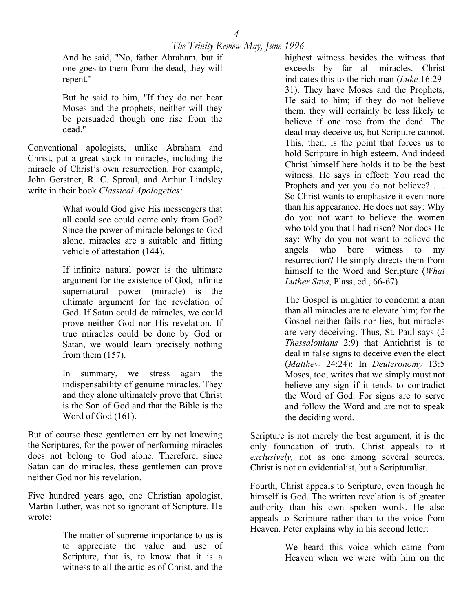And he said, "No, father Abraham, but if one goes to them from the dead, they will repent."

But he said to him, "If they do not hear Moses and the prophets, neither will they be persuaded though one rise from the dead."

Conventional apologists, unlike Abraham and Christ, put a great stock in miracles, including the miracle of Christ's own resurrection. For example, John Gerstner, R. C. Sproul, and Arthur Lindsley write in their book *Classical Apologetics:* 

> What would God give His messengers that all could see could come only from God? Since the power of miracle belongs to God alone, miracles are a suitable and fitting vehicle of attestation (144).

> If infinite natural power is the ultimate argument for the existence of God, infinite supernatural power (miracle) is the ultimate argument for the revelation of God. If Satan could do miracles, we could prove neither God nor His revelation. If true miracles could be done by God or Satan, we would learn precisely nothing from them (157).

> In summary, we stress again the indispensability of genuine miracles. They and they alone ultimately prove that Christ is the Son of God and that the Bible is the Word of God (161).

But of course these gentlemen err by not knowing the Scriptures, for the power of performing miracles does not belong to God alone. Therefore, since Satan can do miracles, these gentlemen can prove neither God nor his revelation.

Five hundred years ago, one Christian apologist, Martin Luther, was not so ignorant of Scripture. He wrote:

> The matter of supreme importance to us is to appreciate the value and use of Scripture, that is, to know that it is a witness to all the articles of Christ, and the

highest witness besides–the witness that exceeds by far all miracles. Christ indicates this to the rich man (*Luke* 16:29- 31). They have Moses and the Prophets, He said to him; if they do not believe them, they will certainly be less likely to believe if one rose from the dead. The dead may deceive us, but Scripture cannot. This, then, is the point that forces us to hold Scripture in high esteem. And indeed Christ himself here holds it to be the best witness. He says in effect: You read the Prophets and yet you do not believe? ... So Christ wants to emphasize it even more than his appearance. He does not say: Why do you not want to believe the women who told you that I had risen? Nor does He say: Why do you not want to believe the angels who bore witness to my resurrection? He simply directs them from himself to the Word and Scripture (*What Luther Says*, Plass, ed., 66-67).

The Gospel is mightier to condemn a man than all miracles are to elevate him; for the Gospel neither fails nor lies, but miracles are very deceiving. Thus, St. Paul says (*2 Thessalonians* 2:9) that Antichrist is to deal in false signs to deceive even the elect (*Matthew* 24:24): In *Deuteronomy* 13:5 Moses, too, writes that we simply must not believe any sign if it tends to contradict the Word of God. For signs are to serve and follow the Word and are not to speak the deciding word.

Scripture is not merely the best argument, it is the only foundation of truth. Christ appeals to it *exclusively,* not as one among several sources. Christ is not an evidentialist, but a Scripturalist.

Fourth, Christ appeals to Scripture, even though he himself is God. The written revelation is of greater authority than his own spoken words. He also appeals to Scripture rather than to the voice from Heaven. Peter explains why in his second letter:

> We heard this voice which came from Heaven when we were with him on the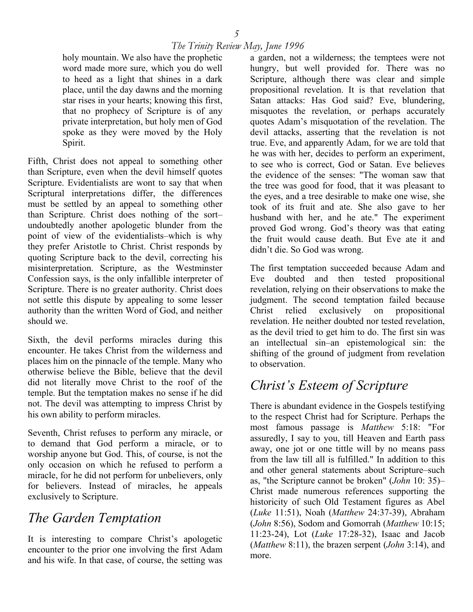holy mountain. We also have the prophetic word made more sure, which you do well to heed as a light that shines in a dark place, until the day dawns and the morning star rises in your hearts; knowing this first, that no prophecy of Scripture is of any private interpretation, but holy men of God spoke as they were moved by the Holy Spirit.

Fifth, Christ does not appeal to something other than Scripture, even when the devil himself quotes Scripture. Evidentialists are wont to say that when Scriptural interpretations differ, the differences must be settled by an appeal to something other than Scripture. Christ does nothing of the sort– undoubtedly another apologetic blunder from the point of view of the evidentialists–which is why they prefer Aristotle to Christ. Christ responds by quoting Scripture back to the devil, correcting his misinterpretation. Scripture, as the Westminster Confession says, is the only infallible interpreter of Scripture. There is no greater authority. Christ does not settle this dispute by appealing to some lesser authority than the written Word of God, and neither should we.

Sixth, the devil performs miracles during this encounter. He takes Christ from the wilderness and places him on the pinnacle of the temple. Many who otherwise believe the Bible, believe that the devil did not literally move Christ to the roof of the temple. But the temptation makes no sense if he did not. The devil was attempting to impress Christ by his own ability to perform miracles.

Seventh, Christ refuses to perform any miracle, or to demand that God perform a miracle, or to worship anyone but God. This, of course, is not the only occasion on which he refused to perform a miracle, for he did not perform for unbelievers, only for believers. Instead of miracles, he appeals exclusively to Scripture.

## *The Garden Temptation*

It is interesting to compare Christ's apologetic encounter to the prior one involving the first Adam and his wife. In that case, of course, the setting was

a garden, not a wilderness; the temptees were not hungry, but well provided for. There was no Scripture, although there was clear and simple propositional revelation. It is that revelation that Satan attacks: Has God said? Eve, blundering, misquotes the revelation, or perhaps accurately quotes Adam's misquotation of the revelation. The devil attacks, asserting that the revelation is not true. Eve, and apparently Adam, for we are told that he was with her, decides to perform an experiment, to see who is correct, God or Satan. Eve believes the evidence of the senses: "The woman saw that the tree was good for food, that it was pleasant to the eyes, and a tree desirable to make one wise, she took of its fruit and ate. She also gave to her husband with her, and he ate." The experiment proved God wrong. God's theory was that eating the fruit would cause death. But Eve ate it and didn't die. So God was wrong.

The first temptation succeeded because Adam and Eve doubted and then tested propositional revelation, relying on their observations to make the judgment. The second temptation failed because Christ relied exclusively on propositional revelation. He neither doubted nor tested revelation, as the devil tried to get him to do. The first sin was an intellectual sin–an epistemological sin: the shifting of the ground of judgment from revelation to observation.

## *Christ's Esteem of Scripture*

There is abundant evidence in the Gospels testifying to the respect Christ had for Scripture. Perhaps the most famous passage is *Matthew* 5:18: "For assuredly, I say to you, till Heaven and Earth pass away, one jot or one tittle will by no means pass from the law till all is fulfilled." In addition to this and other general statements about Scripture–such as, "the Scripture cannot be broken" (*John* 10: 35)– Christ made numerous references supporting the historicity of such Old Testament figures as Abel (*Luke* 11:51), Noah (*Matthew* 24:37-39), Abraham (*John* 8:56), Sodom and Gomorrah (*Matthew* 10:15; 11:23-24), Lot (*Luke* 17:28-32), Isaac and Jacob (*Matthew* 8:11), the brazen serpent (*John* 3:14), and more.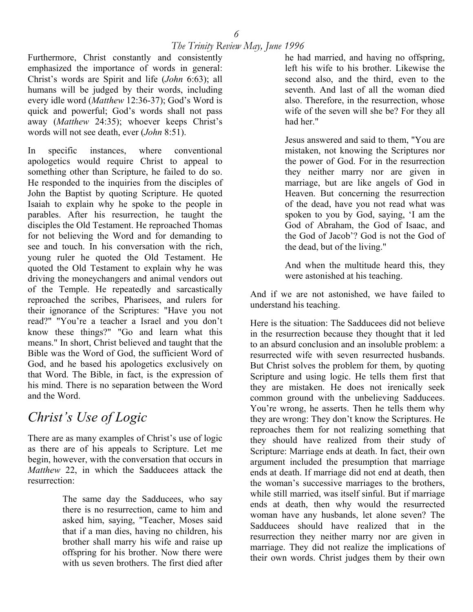Furthermore, Christ constantly and consistently emphasized the importance of words in general: Christ's words are Spirit and life (*John* 6:63); all humans will be judged by their words, including every idle word (*Matthew* 12:36-37); God's Word is quick and powerful; God's words shall not pass away (*Matthew* 24:35); whoever keeps Christ's words will not see death, ever (*John* 8:51).

In specific instances, where conventional apologetics would require Christ to appeal to something other than Scripture, he failed to do so. He responded to the inquiries from the disciples of John the Baptist by quoting Scripture. He quoted Isaiah to explain why he spoke to the people in parables. After his resurrection, he taught the disciples the Old Testament. He reproached Thomas for not believing the Word and for demanding to see and touch. In his conversation with the rich, young ruler he quoted the Old Testament. He quoted the Old Testament to explain why he was driving the moneychangers and animal vendors out of the Temple. He repeatedly and sarcastically reproached the scribes, Pharisees, and rulers for their ignorance of the Scriptures: "Have you not read?" "You're a teacher a Israel and you don't know these things?" "Go and learn what this means." In short, Christ believed and taught that the Bible was the Word of God, the sufficient Word of God, and he based his apologetics exclusively on that Word. The Bible, in fact, is the expression of his mind. There is no separation between the Word and the Word.

## *Christ's Use of Logic*

There are as many examples of Christ's use of logic as there are of his appeals to Scripture. Let me begin, however, with the conversation that occurs in *Matthew* 22, in which the Sadducees attack the resurrection:

> The same day the Sadducees, who say there is no resurrection, came to him and asked him, saying, "Teacher, Moses said that if a man dies, having no children, his brother shall marry his wife and raise up offspring for his brother. Now there were with us seven brothers. The first died after

he had married, and having no offspring, left his wife to his brother. Likewise the second also, and the third, even to the seventh. And last of all the woman died also. Therefore, in the resurrection, whose wife of the seven will she be? For they all had her."

Jesus answered and said to them, "You are mistaken, not knowing the Scriptures nor the power of God. For in the resurrection they neither marry nor are given in marriage, but are like angels of God in Heaven. But concerning the resurrection of the dead, have you not read what was spoken to you by God, saying, 'I am the God of Abraham, the God of Isaac, and the God of Jacob'? God is not the God of the dead, but of the living."

And when the multitude heard this, they were astonished at his teaching.

And if we are not astonished, we have failed to understand his teaching.

Here is the situation: The Sadducees did not believe in the resurrection because they thought that it led to an absurd conclusion and an insoluble problem: a resurrected wife with seven resurrected husbands. But Christ solves the problem for them, by quoting Scripture and using logic. He tells them first that they are mistaken. He does not irenically seek common ground with the unbelieving Sadducees. You're wrong, he asserts. Then he tells them why they are wrong: They don't know the Scriptures. He reproaches them for not realizing something that they should have realized from their study of Scripture: Marriage ends at death. In fact, their own argument included the presumption that marriage ends at death. If marriage did not end at death, then the woman's successive marriages to the brothers, while still married, was itself sinful. But if marriage ends at death, then why would the resurrected woman have any husbands, let alone seven? The Sadducees should have realized that in the resurrection they neither marry nor are given in marriage. They did not realize the implications of their own words. Christ judges them by their own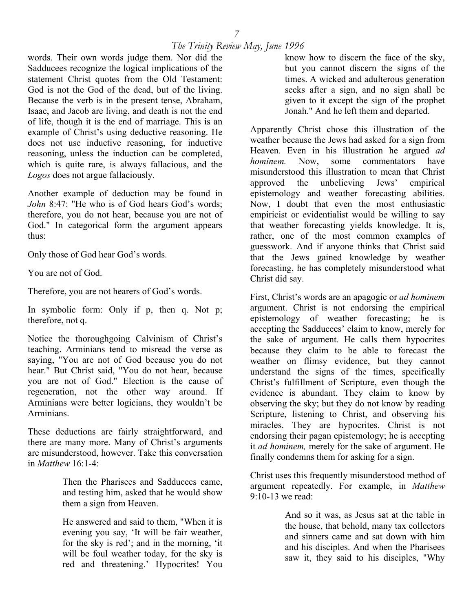words. Their own words judge them. Nor did the Sadducees recognize the logical implications of the statement Christ quotes from the Old Testament: God is not the God of the dead, but of the living. Because the verb is in the present tense, Abraham, Isaac, and Jacob are living, and death is not the end of life, though it is the end of marriage. This is an example of Christ's using deductive reasoning. He does not use inductive reasoning, for inductive reasoning, unless the induction can be completed, which is quite rare, is always fallacious, and the *Logos* does not argue fallaciously.

Another example of deduction may be found in *John* 8:47: "He who is of God hears God's words; therefore, you do not hear, because you are not of God." In categorical form the argument appears thus:

Only those of God hear God's words.

You are not of God.

Therefore, you are not hearers of God's words.

In symbolic form: Only if p, then q. Not p; therefore, not q.

Notice the thoroughgoing Calvinism of Christ's teaching. Arminians tend to misread the verse as saying, "You are not of God because you do not hear." But Christ said, "You do not hear, because you are not of God." Election is the cause of regeneration, not the other way around. If Arminians were better logicians, they wouldn't be Arminians.

These deductions are fairly straightforward, and there are many more. Many of Christ's arguments are misunderstood, however. Take this conversation in *Matthew* 16:1-4:

> Then the Pharisees and Sadducees came, and testing him, asked that he would show them a sign from Heaven.

> He answered and said to them, "When it is evening you say, 'It will be fair weather, for the sky is red'; and in the morning, 'it will be foul weather today, for the sky is red and threatening.' Hypocrites! You

know how to discern the face of the sky, but you cannot discern the signs of the times. A wicked and adulterous generation seeks after a sign, and no sign shall be given to it except the sign of the prophet Jonah." And he left them and departed.

Apparently Christ chose this illustration of the weather because the Jews had asked for a sign from Heaven. Even in his illustration he argued *ad hominem.* Now, some commentators have misunderstood this illustration to mean that Christ approved the unbelieving Jews' empirical epistemology and weather forecasting abilities. Now, I doubt that even the most enthusiastic empiricist or evidentialist would be willing to say that weather forecasting yields knowledge. It is, rather, one of the most common examples of guesswork. And if anyone thinks that Christ said that the Jews gained knowledge by weather forecasting, he has completely misunderstood what Christ did say.

First, Christ's words are an apagogic or *ad hominem*  argument. Christ is not endorsing the empirical epistemology of weather forecasting; he is accepting the Sadducees' claim to know, merely for the sake of argument. He calls them hypocrites because they claim to be able to forecast the weather on flimsy evidence, but they cannot understand the signs of the times, specifically Christ's fulfillment of Scripture, even though the evidence is abundant. They claim to know by observing the sky; but they do not know by reading Scripture, listening to Christ, and observing his miracles. They are hypocrites. Christ is not endorsing their pagan epistemology; he is accepting it *ad hominem,* merely for the sake of argument. He finally condemns them for asking for a sign.

Christ uses this frequently misunderstood method of argument repeatedly. For example, in *Matthew* 9:10-13 we read:

> And so it was, as Jesus sat at the table in the house, that behold, many tax collectors and sinners came and sat down with him and his disciples. And when the Pharisees saw it, they said to his disciples, "Why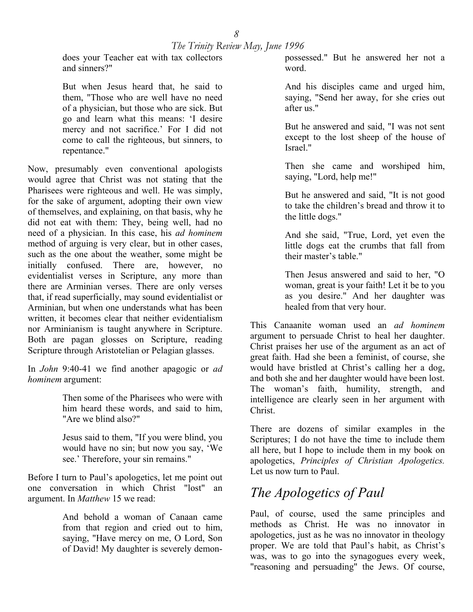does your Teacher eat with tax collectors and sinners?"

But when Jesus heard that, he said to them, "Those who are well have no need of a physician, but those who are sick. But go and learn what this means: 'I desire mercy and not sacrifice.' For I did not come to call the righteous, but sinners, to repentance."

Now, presumably even conventional apologists would agree that Christ was not stating that the Pharisees were righteous and well. He was simply, for the sake of argument, adopting their own view of themselves, and explaining, on that basis, why he did not eat with them: They, being well, had no need of a physician. In this case, his *ad hominem*  method of arguing is very clear, but in other cases, such as the one about the weather, some might be initially confused. There are, however, no evidentialist verses in Scripture, any more than there are Arminian verses. There are only verses that, if read superficially, may sound evidentialist or Arminian, but when one understands what has been written, it becomes clear that neither evidentialism nor Arminianism is taught anywhere in Scripture. Both are pagan glosses on Scripture, reading Scripture through Aristotelian or Pelagian glasses.

In *John* 9:40-41 we find another apagogic or *ad hominem* argument:

> Then some of the Pharisees who were with him heard these words, and said to him, "Are we blind also?"

> Jesus said to them, "If you were blind, you would have no sin; but now you say, 'We see.' Therefore, your sin remains."

Before I turn to Paul's apologetics, let me point out one conversation in which Christ "lost" an argument. In *Matthew* 15 we read:

> And behold a woman of Canaan came from that region and cried out to him, saying, "Have mercy on me, O Lord, Son of David! My daughter is severely demon

possessed." But he answered her not a word.

And his disciples came and urged him, saying, "Send her away, for she cries out after us."

But he answered and said, "I was not sent except to the lost sheep of the house of Israel."

Then she came and worshiped him, saying, "Lord, help me!"

But he answered and said, "It is not good to take the children's bread and throw it to the little dogs."

And she said, "True, Lord, yet even the little dogs eat the crumbs that fall from their master's table."

Then Jesus answered and said to her, "O woman, great is your faith! Let it be to you as you desire." And her daughter was healed from that very hour.

This Canaanite woman used an *ad hominem*  argument to persuade Christ to heal her daughter. Christ praises her use of the argument as an act of great faith. Had she been a feminist, of course, she would have bristled at Christ's calling her a dog, and both she and her daughter would have been lost. The woman's faith, humility, strength, and intelligence are clearly seen in her argument with Christ.

There are dozens of similar examples in the Scriptures; I do not have the time to include them all here, but I hope to include them in my book on apologetics, *Principles of Christian Apologetics.*  Let us now turn to Paul.

## *The Apologetics of Paul*

Paul, of course, used the same principles and methods as Christ. He was no innovator in apologetics, just as he was no innovator in theology proper. We are told that Paul's habit, as Christ's was, was to go into the synagogues every week, "reasoning and persuading" the Jews. Of course,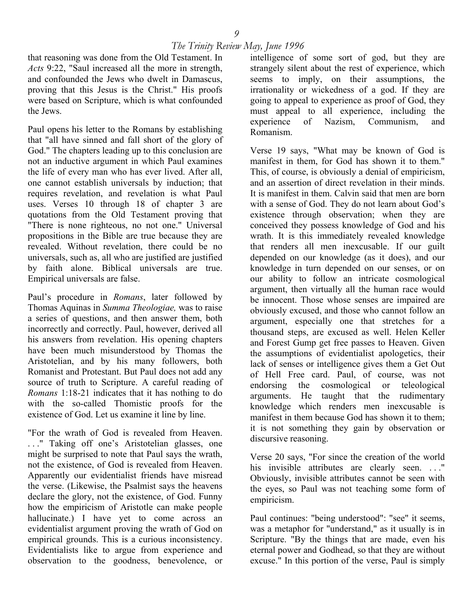that reasoning was done from the Old Testament. In *Acts* 9:22, "Saul increased all the more in strength, and confounded the Jews who dwelt in Damascus, proving that this Jesus is the Christ." His proofs were based on Scripture, which is what confounded the Jews.

Paul opens his letter to the Romans by establishing that "all have sinned and fall short of the glory of God." The chapters leading up to this conclusion are not an inductive argument in which Paul examines the life of every man who has ever lived. After all, one cannot establish universals by induction; that requires revelation, and revelation is what Paul uses. Verses 10 through 18 of chapter 3 are quotations from the Old Testament proving that "There is none righteous, no not one." Universal propositions in the Bible are true because they are revealed. Without revelation, there could be no universals, such as, all who are justified are justified by faith alone. Biblical universals are true. Empirical universals are false.

Paul's procedure in *Romans*, later followed by Thomas Aquinas in *Summa Theologiae,* was to raise a series of questions, and then answer them, both incorrectly and correctly. Paul, however, derived all his answers from revelation. His opening chapters have been much misunderstood by Thomas the Aristotelian, and by his many followers, both Romanist and Protestant. But Paul does not add any source of truth to Scripture. A careful reading of *Romans* 1:18-21 indicates that it has nothing to do with the so-called Thomistic proofs for the existence of God. Let us examine it line by line.

"For the wrath of God is revealed from Heaven. . . ." Taking off one's Aristotelian glasses, one might be surprised to note that Paul says the wrath, not the existence, of God is revealed from Heaven. Apparently our evidentialist friends have misread the verse. (Likewise, the Psalmist says the heavens declare the glory, not the existence, of God. Funny how the empiricism of Aristotle can make people hallucinate.) I have yet to come across an evidentialist argument proving the wrath of God on empirical grounds. This is a curious inconsistency. Evidentialists like to argue from experience and observation to the goodness, benevolence, or

intelligence of some sort of god, but they are strangely silent about the rest of experience, which seems to imply, on their assumptions, the irrationality or wickedness of a god. If they are going to appeal to experience as proof of God, they must appeal to all experience, including the experience of Nazism, Communism, and Romanism.

Verse 19 says, "What may be known of God is manifest in them, for God has shown it to them." This, of course, is obviously a denial of empiricism, and an assertion of direct revelation in their minds. It is manifest in them. Calvin said that men are born with a sense of God. They do not learn about God's existence through observation; when they are conceived they possess knowledge of God and his wrath. It is this immediately revealed knowledge that renders all men inexcusable. If our guilt depended on our knowledge (as it does), and our knowledge in turn depended on our senses, or on our ability to follow an intricate cosmological argument, then virtually all the human race would be innocent. Those whose senses are impaired are obviously excused, and those who cannot follow an argument, especially one that stretches for a thousand steps, are excused as well. Helen Keller and Forest Gump get free passes to Heaven. Given the assumptions of evidentialist apologetics, their lack of senses or intelligence gives them a Get Out of Hell Free card. Paul, of course, was not endorsing the cosmological or teleological arguments. He taught that the rudimentary knowledge which renders men inexcusable is manifest in them because God has shown it to them; it is not something they gain by observation or discursive reasoning.

Verse 20 says, "For since the creation of the world his invisible attributes are clearly seen. ..." Obviously, invisible attributes cannot be seen with the eyes, so Paul was not teaching some form of empiricism.

Paul continues: "being understood": "see" it seems, was a metaphor for "understand," as it usually is in Scripture. "By the things that are made, even his eternal power and Godhead, so that they are without excuse." In this portion of the verse, Paul is simply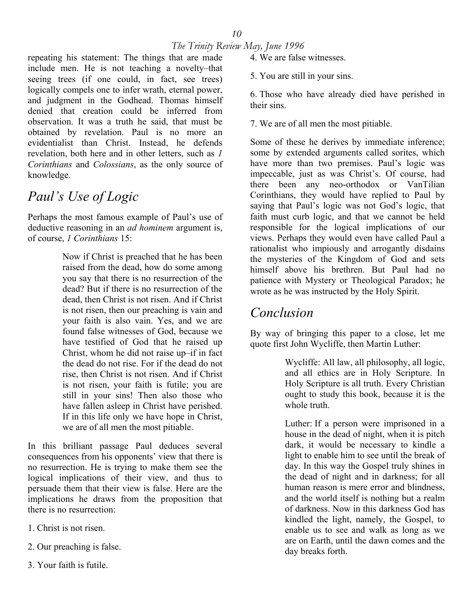repeating his statement: The things that are made include men. He is not teaching a novelty–that seeing trees (if one could, in fact, see trees) logically compels one to infer wrath, eternal power, and judgment in the Godhead. Thomas himself denied that creation could be inferred from observation. It was a truth he said, that must be obtained by revelation. Paul is no more an evidentialist than Christ. Instead, he defends revelation, both here and in other letters, such as *1 Corinthians* and *Colossians*, as the only source of knowledge.

## *Paul's Use of Logic*

Perhaps the most famous example of Paul's use of deductive reasoning in an *ad hominem* argument is, of course, *1 Corinthians* 15:

> Now if Christ is preached that he has been raised from the dead, how do some among you say that there is no resurrection of the dead? But if there is no resurrection of the dead, then Christ is not risen. And if Christ is not risen, then our preaching is vain and your faith is also vain. Yes, and we are found false witnesses of God, because we have testified of God that he raised up Christ, whom he did not raise up–if in fact the dead do not rise. For if the dead do not rise, then Christ is not risen. And if Christ is not risen, your faith is futile; you are still in your sins! Then also those who have fallen asleep in Christ have perished. If in this life only we have hope in Christ, we are of all men the most pitiable.

In this brilliant passage Paul deduces several consequences from his opponents' view that there is no resurrection. He is trying to make them see the logical implications of their view, and thus to persuade them that their view is false. Here are the implications he draws from the proposition that there is no resurrection:

- 1. Christ is not risen.
- 2. Our preaching is false.
- 3. Your faith is futile.

4. We are false witnesses.

5. You are still in your sins.

6. Those who have already died have perished in their sins.

7. We are of all men the most pitiable.

Some of these he derives by immediate inference; some by extended arguments called sorites, which have more than two premises. Paul's logic was impeccable, just as was Christ's. Of course, had there been any neo-orthodox or VanTilian Corinthians, they would have replied to Paul by saying that Paul's logic was not God's logic, that faith must curb logic, and that we cannot be held responsible for the logical implications of our views. Perhaps they would even have called Paul a rationalist who impiously and arrogantly disdains the mysteries of the Kingdom of God and sets himself above his brethren. But Paul had no patience with Mystery or Theological Paradox; he wrote as he was instructed by the Holy Spirit.

## *Conclusion*

By way of bringing this paper to a close, let me quote first John Wycliffe, then Martin Luther:

> Wycliffe: All law, all philosophy, all logic, and all ethics are in Holy Scripture. In Holy Scripture is all truth. Every Christian ought to study this book, because it is the whole truth.

> Luther: If a person were imprisoned in a house in the dead of night, when it is pitch dark, it would be necessary to kindle a light to enable him to see until the break of day. In this way the Gospel truly shines in the dead of night and in darkness; for all human reason is mere error and blindness, and the world itself is nothing but a realm of darkness. Now in this darkness God has kindled the light, namely, the Gospel, to enable us to see and walk as long as we are on Earth, until the dawn comes and the day breaks forth.